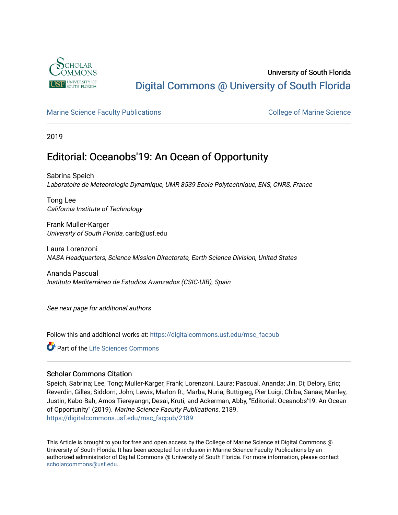

## University of South Florida [Digital Commons @ University of South Florida](https://digitalcommons.usf.edu/)

### [Marine Science Faculty Publications](https://digitalcommons.usf.edu/msc_facpub) **College of Marine Science** College of Marine Science

2019

# Editorial: Oceanobs'19: An Ocean of Opportunity

Sabrina Speich Laboratoire de Meteorologie Dynamique, UMR 8539 Ecole Polytechnique, ENS, CNRS, France

Tong Lee California Institute of Technology

Frank Muller-Karger University of South Florida, carib@usf.edu

Laura Lorenzoni NASA Headquarters, Science Mission Directorate, Earth Science Division, United States

Ananda Pascual Instituto Mediterráneo de Estudios Avanzados (CSIC-UIB), Spain

See next page for additional authors

Follow this and additional works at: [https://digitalcommons.usf.edu/msc\\_facpub](https://digitalcommons.usf.edu/msc_facpub?utm_source=digitalcommons.usf.edu%2Fmsc_facpub%2F2189&utm_medium=PDF&utm_campaign=PDFCoverPages) 

Part of the [Life Sciences Commons](http://network.bepress.com/hgg/discipline/1016?utm_source=digitalcommons.usf.edu%2Fmsc_facpub%2F2189&utm_medium=PDF&utm_campaign=PDFCoverPages) 

### Scholar Commons Citation

Speich, Sabrina; Lee, Tong; Muller-Karger, Frank; Lorenzoni, Laura; Pascual, Ananda; Jin, Di; Delory, Eric; Reverdin, Gilles; Siddorn, John; Lewis, Marlon R.; Marba, Nuria; Buttigieg, Pier Luigi; Chiba, Sanae; Manley, Justin; Kabo-Bah, Amos Tiereyangn; Desai, Kruti; and Ackerman, Abby, "Editorial: Oceanobs'19: An Ocean of Opportunity" (2019). Marine Science Faculty Publications. 2189. [https://digitalcommons.usf.edu/msc\\_facpub/2189](https://digitalcommons.usf.edu/msc_facpub/2189?utm_source=digitalcommons.usf.edu%2Fmsc_facpub%2F2189&utm_medium=PDF&utm_campaign=PDFCoverPages) 

This Article is brought to you for free and open access by the College of Marine Science at Digital Commons @ University of South Florida. It has been accepted for inclusion in Marine Science Faculty Publications by an authorized administrator of Digital Commons @ University of South Florida. For more information, please contact [scholarcommons@usf.edu.](mailto:scholarcommons@usf.edu)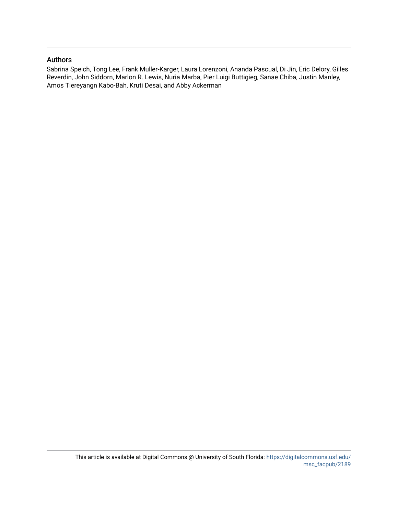### Authors

Sabrina Speich, Tong Lee, Frank Muller-Karger, Laura Lorenzoni, Ananda Pascual, Di Jin, Eric Delory, Gilles Reverdin, John Siddorn, Marlon R. Lewis, Nuria Marba, Pier Luigi Buttigieg, Sanae Chiba, Justin Manley, Amos Tiereyangn Kabo-Bah, Kruti Desai, and Abby Ackerman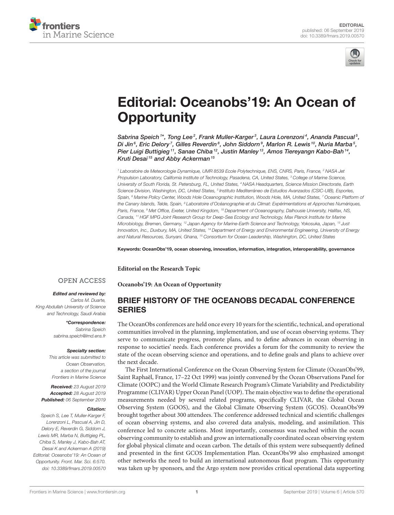



# [Editorial: Oceanobs'19: An Ocean of](https://www.frontiersin.org/articles/10.3389/fmars.2019.00570/full) **Opportunity**

[Sabrina Speich](http://loop.frontiersin.org/people/457867/overview)  ${}^{1*}$ , [Tong Lee](http://loop.frontiersin.org/people/560392/overview) ${}^{2}$ , [Frank Muller-Karger](http://loop.frontiersin.org/people/502138/overview) ${}^{3}$ , [Laura Lorenzoni](http://loop.frontiersin.org/people/218778/overview) ${}^{4}$ , [Ananda Pascual](http://loop.frontiersin.org/people/140309/overview) ${}^{5}$ , [Di Jin](http://loop.frontiersin.org/people/569034/overview) $^6$ , [Eric Delory](http://loop.frontiersin.org/people/170819/overview) $^7$ , [Gilles Reverdin](http://loop.frontiersin.org/people/220876/overview) $^8$ , [John Siddorn](http://loop.frontiersin.org/people/623591/overview) $^9$ , [Marlon R. Lewis](http://loop.frontiersin.org/people/471120/overview) $^{\,10}$ , [Nuria Marba](http://loop.frontiersin.org/people/68606/overview) $^5$ , [Pier Luigi Buttigieg](http://loop.frontiersin.org/people/143371/overview) <sup>11</sup>, [Sanae Chiba](http://loop.frontiersin.org/people/232107/overview) <sup>12</sup>, [Justin Manley](http://loop.frontiersin.org/people/624484/overview) <sup>13</sup>, [Amos Tiereyangn Kabo-Bah](http://loop.frontiersin.org/people/571102/overview) <sup>14</sup>, [Kruti Desai](http://loop.frontiersin.org/people/800690/overview)<sup>15</sup> and [Abby Ackerman](http://loop.frontiersin.org/people/800329/overview)<sup>15</sup>

<sup>1</sup> Laboratoire de Meteorologie Dynamique, UMR 8539 Ecole Polytechnique, ENS, CNRS, Paris, France, <sup>2</sup> NASA Jet Propulsion Laboratory, California Institute of Technology, Pasadena, CA, United States, <sup>3</sup> College of Marine Science, University of South Florida, St. Petersburg, FL, United States, <sup>4</sup> NASA Headquarters, Science Mission Directorate, Earth Science Division, Washington, DC, United States, <sup>5</sup> Instituto Mediterráneo de Estudios Avanzados (CSIC-UIB), Esporles, Spain, <sup>6</sup> Marine Policy Center, Woods Hole Oceanographic Institution, Woods Hole, MA, United States, <sup>7</sup> Oceanic Platform of the Canary Islands, Telde, Spain, <sup>8</sup> Laboratoire d'Océanographie et du Climat: Expérimentations et Approches Numériques, Paris, France, <sup>9</sup> Met Office, Exeter, United Kingdom, <sup>10</sup> Department of Oceanography, Dalhousie University, Halifax, NS, Canada, <sup>11</sup> HGF MPG Joint Research Group for Deep-Sea Ecology and Technology, Max Planck Institute for Marine Microbiology, Bremen, Germany, <sup>12</sup> Japan Agency for Marine-Earth Science and Technology, Yokosuka, Japan, <sup>13</sup> Just Innovation, Inc., Duxbury, MA, United States, <sup>14</sup> Department of Energy and Environmental Engineering, University of Energy and Natural Resources, Sunyani, Ghana, <sup>15</sup> Consortium for Ocean Leadership, Washington, DC, United States

Keywords: OceanObs'19, ocean observing, innovation, information, integration, interoperability, governance

**Editorial on the Research Topic**

**[Oceanobs'19: An Ocean of Opportunity](https://www.frontiersin.org/research-topics/8224/oceanobs19-an-ocean-of-opportunity)**

#### **OPEN ACCESS**

#### Edited and reviewed by:

Carlos M. Duarte, King Abdullah University of Science and Technology, Saudi Arabia

> \*Correspondence: Sabrina Speich [sabrina.speich@lmd.ens.fr](mailto:sabrina.speich@lmd.ens.fr)

#### Specialty section:

This article was submitted to Ocean Observation, a section of the journal Frontiers in Marine Science

Received: 23 August 2019 Accepted: 28 August 2019 Published: 06 September 2019

#### Citation:

Speich S, Lee T, Muller-Karger F, Lorenzoni L, Pascual A, Jin D, Delory E, Reverdin G, Siddorn J, Lewis MR, Marba N, Buttigieg PL, Chiba S, Manley J, Kabo-Bah AT, Desai K and Ackerman A (2019) Editorial: Oceanobs'19: An Ocean of Opportunity. Front. Mar. Sci. 6:570. doi: [10.3389/fmars.2019.00570](https://doi.org/10.3389/fmars.2019.00570)

### BRIEF HISTORY OF THE OCEANOBS DECADAL CONFERENCE **SERIES**

The OceanObs conferences are held once every 10 years for the scientific, technical, and operational communities involved in the planning, implementation, and use of ocean observing systems. They serve to communicate progress, promote plans, and to define advances in ocean observing in response to societies' needs. Each conference provides a forum for the community to review the state of the ocean observing science and operations, and to define goals and plans to achieve over the next decade.

The First International Conference on the Ocean Observing System for Climate (OceanObs'99, Saint Raphaël, France, 17–22 Oct 1999) was jointly convened by the Ocean Observations Panel for Climate (OOPC) and the World Climate Research Program's Climate Variability and Predictability Programme (CLIVAR) Upper Ocean Panel (UOP). The main objective was to define the operational measurements needed by several related programs, specifically CLIVAR, the Global Ocean Observing System (GOOS), and the Global Climate Observing System (GCOS). OceanObs'99 brought together about 300 attendees. The conference addressed technical and scientific challenges of ocean observing systems, and also covered data analysis, modeling, and assimilation. This conference led to concrete actions. Most importantly, consensus was reached within the ocean observing community to establish and grow an internationally coordinated ocean observing system for global physical climate and ocean carbon. The details of this system were subsequently defined and presented in the first GCOS Implementation Plan. OceanObs'99 also emphasized amongst other networks the need to build an international autonomous float program. This opportunity was taken up by sponsors, and the Argo system now provides critical operational data supporting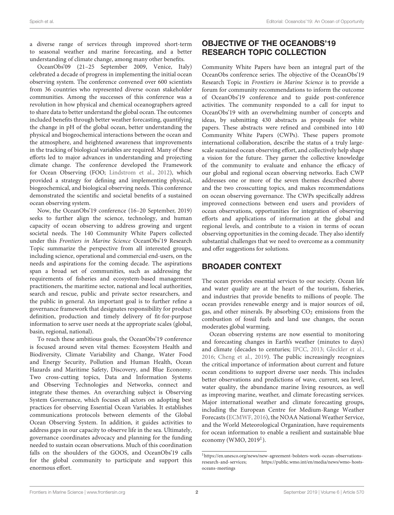a diverse range of services through improved short-term to seasonal weather and marine forecasting, and a better understanding of climate change, among many other benefits.

OceanObs'09 (21–25 September 2009, Venice, Italy) celebrated a decade of progress in implementing the initial ocean observing system. The conference convened over 600 scientists from 36 countries who represented diverse ocean stakeholder communities. Among the successes of this conference was a revolution in how physical and chemical oceanographers agreed to share data to better understand the global ocean. The outcomes included benefits through better weather forecasting, quantifying the change in pH of the global ocean, better understanding the physical and biogeochemical interactions between the ocean and the atmosphere, and heightened awareness that improvements in the tracking of biological variables are required. Many of these efforts led to major advances in understanding and projecting climate change. The conference developed the Framework for Ocean Observing (FOO; [Lindstrom et al., 2012\)](#page-6-0), which provided a strategy for defining and implementing physical, biogeochemical, and biological observing needs. This conference demonstrated the scientific and societal benefits of a sustained ocean observing system.

Now, the OceanObs'19 conference (16–20 September, 2019) seeks to further align the science, technology, and human capacity of ocean observing to address growing and urgent societal needs. The 140 Community White Papers collected under this Frontiers in Marine Science OceanObs'19 Research Topic summarize the perspective from all interested groups, including science, operational and commercial end-users, on the needs and aspirations for the coming decade. The aspirations span a broad set of communities, such as addressing the requirements of fisheries and ecosystem-based management practitioners, the maritime sector, national and local authorities, search and rescue, public and private sector researchers, and the public in general. An important goal is to further refine a governance framework that designates responsibility for product definition, production and timely delivery of fit-for-purpose information to serve user needs at the appropriate scales (global, basin, regional, national).

To reach these ambitious goals, the OceanObs'19 conference is focused around seven vital themes: Ecosystem Health and Biodiversity, Climate Variability and Change, Water Food and Energy Security, Pollution and Human Health, Ocean Hazards and Maritime Safety, Discovery, and Blue Economy. Two cross-cutting topics, Data and Information Systems and Observing Technologies and Networks, connect and integrate these themes. An overarching subject is Observing System Governance, which focuses all actors on adopting best practices for observing Essential Ocean Variables. It establishes communications protocols between elements of the Global Ocean Observing System. In addition, it guides activities to address gaps in our capacity to observe life in the sea. Ultimately, governance coordinates advocacy and planning for the funding needed to sustain ocean observations. Much of this coordination falls on the shoulders of the GOOS, and OceanObs'19 calls for the global community to participate and support this enormous effort.

### OBJECTIVE OF THE OCEANOBS'19 RESEARCH TOPIC COLLECTION

Community White Papers have been an integral part of the OceanObs conference series. The objective of the OceanObs'19 Research Topic in Frontiers in Marine Science is to provide a forum for community recommendations to inform the outcome of OceanObs'19 conference and to guide post-conference activities. The community responded to a call for input to OceanObs'19 with an overwhelming number of concepts and ideas, by submitting 430 abstracts as proposals for white papers. These abstracts were refined and combined into 140 Community White Papers (CWPs). These papers promote international collaboration, describe the status of a truly largescale sustained ocean observing effort, and collectively help shape a vision for the future. They garner the collective knowledge of the community to evaluate and enhance the efficacy of our global and regional ocean observing networks. Each CWP addresses one or more of the seven themes described above and the two crosscutting topics, and makes recommendations on ocean observing governance. The CWPs specifically address improved connections between end users and providers of ocean observations, opportunities for integration of observing efforts and applications of information at the global and regional levels, and contribute to a vision in terms of ocean observing opportunities in the coming decade. They also identify substantial challenges that we need to overcome as a community and offer suggestions for solutions.

### BROADER CONTEXT

The ocean provides essential services to our society. Ocean life and water quality are at the heart of the tourism, fisheries, and industries that provide benefits to millions of people. The ocean provides renewable energy and is major sources of oil, gas, and other minerals. By absorbing  $CO<sub>2</sub>$  emissions from the combustion of fossil fuels and land use changes, the ocean moderates global warming.

Ocean observing systems are now essential to monitoring and forecasting changes in Earth's weather (minutes to days) and climate (decades to centuries; [IPCC, 2013;](#page-6-1) [Gleckler et al.,](#page-6-2) [2016;](#page-6-2) [Cheng et al., 2019\)](#page-6-3). The public increasingly recognizes the critical importance of information about current and future ocean conditions to support diverse user needs. This includes better observations and predictions of wave, current, sea level, water quality, the abundance marine living resources, as well as improving marine, weather, and climate forecasting services. Major international weather and climate forecasting groups, including the European Centre for Medium-Range Weather Forecasts [\(ECMWF, 2016\)](#page-6-4), the NOAA National Weather Service, and the World Meteorological Organization, have requirements for ocean information to enable a resilient and sustainable blue economy (WMO,  $2019<sup>1</sup>$  $2019<sup>1</sup>$  $2019<sup>1</sup>$ ).

<span id="page-3-0"></span><sup>1</sup>[https://en.unesco.org/news/new-agreement-bolsters-work-ocean-observations](https://en.unesco.org/news/new-agreement-bolsters-work-ocean-observations-research-and-services)[research-and-services;](https://en.unesco.org/news/new-agreement-bolsters-work-ocean-observations-research-and-services) [https://public.wmo.int/en/media/news/wmo-hosts](https://public.wmo.int/en/media/news/wmo-hosts-oceans-meetings)[oceans-meetings](https://public.wmo.int/en/media/news/wmo-hosts-oceans-meetings)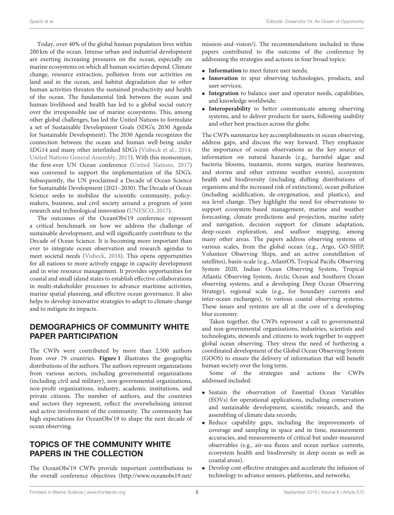Today, over 40% of the global human population lives within 200 km of the ocean. Intense urban and industrial development are exerting increasing pressures on the ocean, especially on marine ecosystems on which all human societies depend. Climate change, resource extraction, pollution from our activities on land and in the ocean, and habitat degradation due to other human activities threaten the sustained productivity and health of the ocean. The fundamental link between the ocean and human livelihood and health has led to a global social outcry over the irresponsible use of marine ecosystems. This, among other global challenges, has led the United Nations to formulate a set of Sustainable Development Goals (SDG's; 2030 Agenda for Sustainable Development). The 2030 Agenda recognizes the connection between the ocean and human well-being under SDG14 and many other interlinked SDG's [\(Visbeck et al., 2014;](#page-6-5) [United Nations General Assembly, 2015\)](#page-6-6). With this momentum, the first-ever UN Ocean conference [\(United Nations, 2017\)](#page-6-7) was convened to support the implementation of the SDG's. Subsequently, the UN proclaimed a Decade of Ocean Science for Sustainable Development (2021–2030). The Decade of Ocean Science seeks to mobilize the scientific community, policymakers, business, and civil society around a program of joint research and technological innovation [\(UNESCO, 2017\)](#page-6-8).

The outcomes of the OceanObs'19 conference represent a critical benchmark on how we address the challenge of sustainable development, and will significantly contribute to the Decade of Ocean Science. It is becoming more important than ever to integrate ocean observation and research agendas to meet societal needs [\(Visbeck, 2018\)](#page-6-9). This opens opportunities for all nations to more actively engage in capacity development and in wise resource management. It provides opportunities for coastal and small island states to establish effective collaborations in multi-stakeholder processes to advance maritime activities, marine spatial planning, and effective ocean governance. It also helps to develop innovative strategies to adapt to climate change and to mitigate its impacts.

### DEMOGRAPHICS OF COMMUNITY WHITE PAPER PARTICIPATION

The CWPs were contributed by more than 2,500 authors from over 79 countries. **[Figure 1](#page-5-0)** illustrates the geographic distributions of the authors. The authors represent organizations from various sectors, including governmental organizations (including civil and military), non-governmental organizations, non-profit organizations, industry, academic institutions, and private citizens. The number of authors, and the countries and sectors they represent, reflect the overwhelming interest and active involvement of the community. The community has high expectations for OceanObs'19 to shape the next decade of ocean observing.

### TOPICS OF THE COMMUNITY WHITE PAPERS IN THE COLLECTION

The OceanObs'19 CWPs provide important contributions to the overall conference objectives [\(http://www.oceanobs19.net/](http://www.oceanobs19.net/mission-and-vision/) [mission-and-vision/\)](http://www.oceanobs19.net/mission-and-vision/). The recommendations included in these papers contributed to the outcome of the conference by addressing the strategies and actions in four broad topics:

- **Information** to meet future user needs;
- **Innovation** to spur observing technologies, products, and user services;
- **Integration** to balance user and operator needs, capabilities, and knowledge worldwide;
- **Interoperability** to better communicate among observing systems, and to deliver products for users, following usability and other best practices across the globe.

The CWPs summarize key accomplishments in ocean observing, address gaps, and discuss the way forward. They emphasize the importance of ocean observations as the key source of information on natural hazards (e.g., harmful algae and bacteria blooms, tsunamis, storm surges, marine heatwaves, and storms and other extreme weather events), ecosystem health and biodiversity (including shifting distributions of organisms and the increased risk of extinctions), ocean pollution (including acidification, de-oxygenation, and plastics), and sea level change. They highlight the need for observations to support ecosystem-based management, marine and weather forecasting, climate predictions and projection, marine safety and navigation, decision support for climate adaptation, deep-ocean exploration, and seafloor mapping, among many other areas. The papers address observing systems of various scales, from the global ocean (e.g., Argo, GO-SHIP, Volunteer Observing Ships, and an active constellation of satellites), basin-scale (e.g., AtlantOS, Tropical Pacific Observing System 2020, Indian Ocean Observing System, Tropical Atlantic Observing System, Arctic Ocean and Southern Ocean observing systems, and a developing Deep Ocean Observing Strategy), regional scale (e.g., for boundary currents and inter-ocean exchanges), to various coastal observing systems. These issues and systems are all at the core of a developing blue economy.

Taken together, the CWPs represent a call to governmental and non-governmental organizations, industries, scientists and technologists, stewards and citizens to work together to support global ocean observing. They stress the need of furthering a coordinated development of the Global Ocean Observing System (GOOS) to ensure the delivery of information that will benefit human society over the long term.

Some of the strategies and actions the CWPs addressed included:

- Sustain the observation of Essential Ocean Variables (EOVs) for operational applications, including conservation and sustainable development, scientific research, and the assembling of climate data records;
- Reduce capability gaps, including the improvements of coverage and sampling in space and in time, measurement accuracies, and measurements of critical but under-measured observables (e.g., air-sea fluxes and ocean surface currents, ecosystem health and biodiversity in deep ocean as well as coastal areas).
- Develop cost-effective strategies and accelerate the infusion of technology to advance sensors, platforms, and networks;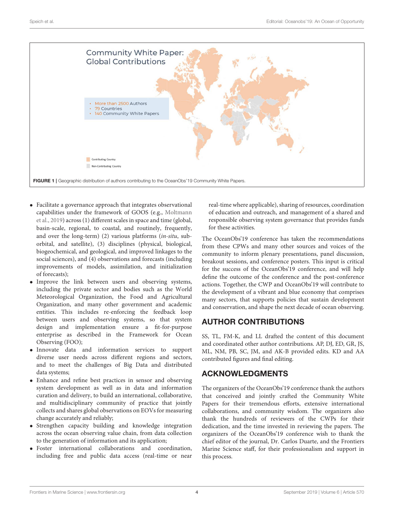

- <span id="page-5-0"></span>• Facilitate a governance approach that integrates observational capabilities under the framework of GOOS (e.g., Moltmann et al., [2019\)](#page-6-10) across (1) different scales in space and time (global, basin-scale, regional, to coastal, and routinely, frequently, and over the long-term) (2) various platforms (in-situ, suborbital, and satellite), (3) disciplines (physical, biological, biogeochemical, and geological, and improved linkages to the social sciences), and (4) observations and forecasts (including improvements of models, assimilation, and initialization of forecasts);
- Improve the link between users and observing systems, including the private sector and bodies such as the World Meteorological Organization, the Food and Agricultural Organization, and many other government and academic entities. This includes re-enforcing the feedback loop between users and observing systems, so that system design and implementation ensure a fit-for-purpose enterprise as described in the Framework for Ocean Observing (FOO);
- Innovate data and information services to support diverse user needs across different regions and sectors, and to meet the challenges of Big Data and distributed data systems;
- Enhance and refine best practices in sensor and observing system development as well as in data and information curation and delivery, to build an international, collaborative, and multidisciplinary community of practice that jointly collects and shares global observations on EOVs for measuring change accurately and reliably;
- Strengthen capacity building and knowledge integration across the ocean observing value chain, from data collection to the generation of information and its application;
- Foster international collaborations and coordination, including free and public data access (real-time or near

real-time where applicable), sharing of resources, coordination of education and outreach, and management of a shared and responsible observing system governance that provides funds for these activities.

The OceanObs'19 conference has taken the recommendations from these CPWs and many other sources and voices of the community to inform plenary presentations, panel discussion, breakout sessions, and conference posters. This input is critical for the success of the OceanObs'19 conference, and will help define the outcome of the conference and the post-conference actions. Together, the CWP and OceanObs'19 will contribute to the development of a vibrant and blue economy that comprises many sectors, that supports policies that sustain development and conservation, and shape the next decade of ocean observing.

### AUTHOR CONTRIBUTIONS

SS, TL, FM-K, and LL drafted the content of this document and coordinated other author contributions. AP, DJ, ED, GR, JS, ML, NM, PB, SC, JM, and AK-B provided edits. KD and AA contributed figures and final editing.

### ACKNOWLEDGMENTS

The organizers of the OceanObs'19 conference thank the authors that conceived and jointly crafted the Community White Papers for their tremendous efforts, extensive international collaborations, and community wisdom. The organizers also thank the hundreds of reviewers of the CWPs for their dedication, and the time invested in reviewing the papers. The organizers of the OceanObs'19 conference wish to thank the chief editor of the journal, Dr. Carlos Duarte, and the Frontiers Marine Science staff, for their professionalism and support in this process.